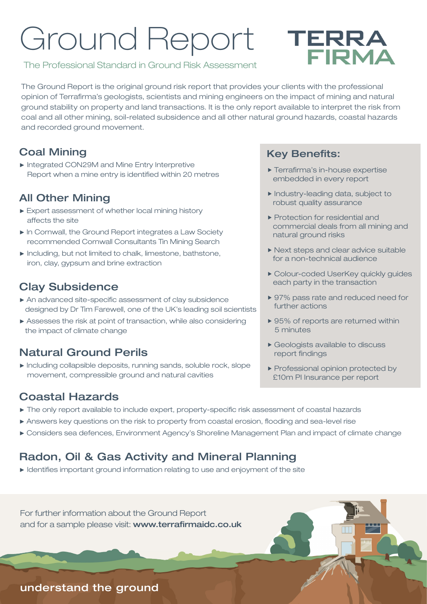# Ground Report



#### The Professional Standard in Ground Risk Assessment

The Ground Report is the original ground risk report that provides your clients with the professional opinion of Terrafirma's geologists, scientists and mining engineers on the impact of mining and natural ground stability on property and land transactions. It is the only report available to interpret the risk from coal and all other mining, soil-related subsidence and all other natural ground hazards, coastal hazards and recorded ground movement.

#### Coal Mining

► Integrated CON29M and Mine Entry Interpretive Report when a mine entry is identified within 20 metres

#### All Other Mining

- ► Expert assessment of whether local mining history affects the site
- ► In Cornwall, the Ground Report integrates a Law Society recommended Cornwall Consultants Tin Mining Search
- ► Including, but not limited to chalk, limestone, bathstone, iron, clay, gypsum and brine extraction

#### Clay Subsidence

- ► An advanced site-specific assessment of clay subsidence designed by Dr Tim Farewell, one of the UK's leading soil scientists
- ► Assesses the risk at point of transaction, while also considering the impact of climate change

#### Natural Ground Perils

► Including collapsible deposits, running sands, soluble rock, slope movement, compressible ground and natural cavities

#### Coastal Hazards

- ► The only report available to include expert, property-specific risk assessment of coastal hazards
- ► Answers key questions on the risk to property from coastal erosion, flooding and sea-level rise
- ► Considers sea defences, Environment Agency's Shoreline Management Plan and impact of climate change

#### Radon, Oil & Gas Activity and Mineral Planning

► Identifies important ground information relating to use and enjoyment of the site

For further information about the Ground Report and for a sample please visit: www.terrafirmaidc.co.uk

#### Key Benefits:

- **Terrafirma's in-house expertise** embedded in every report
- Industry-leading data, subject to robust quality assurance
- Protection for residential and commercial deals from all mining and natural ground risks
- ▶ Next steps and clear advice suitable for a non-technical audience
- Colour-coded UserKey quickly guides each party in the transaction
- ▶ 97% pass rate and reduced need for further actions
- ▶ 95% of reports are returned within 5 minutes
- Geologists available to discuss report findings
- Professional opinion protected by £10m PI Insurance per report

#### understand the ground